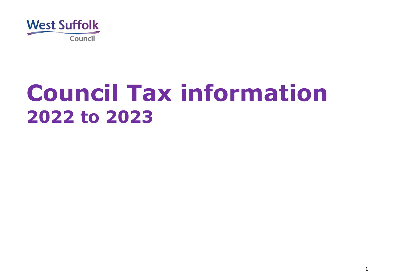

# **Council Tax information to 2023**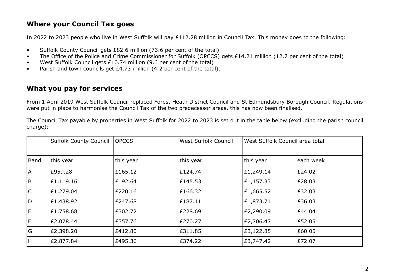### **Where your Council Tax goes**

In 2022 to 2023 people who live in West Suffolk will pay £112.28 million in Council Tax. This money goes to the following:

- Suffolk County Council gets £82.6 million (73.6 per cent of the total)
- The Office of the Police and Crime Commissioner for Suffolk (OPCCS) gets £14.21 million (12.7 per cent of the total)
- West Suffolk Council gets £10.74 million (9.6 per cent of the total)
- Parish and town councils get £4.73 million (4.2 per cent of the total).

# **What you pay for services**

From 1 April 2019 West Suffolk Council replaced Forest Heath District Council and St Edmundsbury Borough Council. Regulations were put in place to harmonise the Council Tax of the two predecessor areas, this has now been finalised.

The Council Tax payable by properties in West Suffolk for 2022 to 2023 is set out in the table below (excluding the parish council charge):

|                | <b>Suffolk County Council</b> | <b>OPCCS</b> | West Suffolk Council | West Suffolk Council area total |           |
|----------------|-------------------------------|--------------|----------------------|---------------------------------|-----------|
| Band           | this year                     | this year    | this year            | this year                       | each week |
| <b>A</b>       | E959.28                       | £165.12      | £124.74              | £1,249.14                       | E24.02    |
| B              | E1,119.16                     | £192.64      | £145.53              | £1,457.33                       | £28.03    |
| $\overline{C}$ | £1,279.04                     | £220.16      | £166.32              | £1,665.52                       | E32.03    |
| D              | £1,438.92                     | £247.68      | £187.11              | £1,873.71                       | £36.03    |
| IE.            | £1,758.68                     | £302.72      | £228.69              | £2,290.09                       | £44.04    |
| F              | £2,078.44                     | £357.76      | £270.27              | £2,706.47                       | E52.05    |
| G              | £2,398.20                     | £412.80      | £311.85              | £3,122.85                       | E60.05    |
| H              | £2,877.84                     | £495.36      | £374.22              | £3,747.42                       | £72.07    |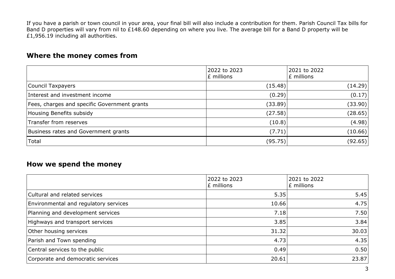If you have a parish or town council in your area, your final bill will also include a contribution for them. Parish Council Tax bills for Band D properties will vary from nil to £148.60 depending on where you live. The average bill for a Band D property will be £1,956.19 including all authorities.

#### **Where the money comes from**

|                                              | 2022 to 2023<br>£ millions | 2021 to 2022<br>£ millions |
|----------------------------------------------|----------------------------|----------------------------|
| Council Taxpayers                            | (15.48)                    | (14.29)                    |
| Interest and investment income               | (0.29)                     | (0.17)                     |
| Fees, charges and specific Government grants | (33.89)                    | (33.90)                    |
| Housing Benefits subsidy                     | (27.58)                    | (28.65)                    |
| Transfer from reserves                       | (10.8)                     | (4.98)                     |
| Business rates and Government grants         | (7.71)                     | (10.66)                    |
| Total                                        | (95.75)                    | (92.65)                    |

#### **How we spend the money**

|                                       | 2022 to 2023<br>£ millions | 2021 to 2022<br>£ millions |
|---------------------------------------|----------------------------|----------------------------|
| Cultural and related services         | 5.35                       | 5.45                       |
| Environmental and regulatory services | 10.66                      | 4.75                       |
| Planning and development services     | 7.18                       | 7.50                       |
| Highways and transport services       | 3.85                       | 3.84                       |
| Other housing services                | 31.32                      | 30.03                      |
| Parish and Town spending              | 4.73                       | 4.35                       |
| Central services to the public        | 0.49                       | 0.50                       |
| Corporate and democratic services     | 20.61                      | 23.87                      |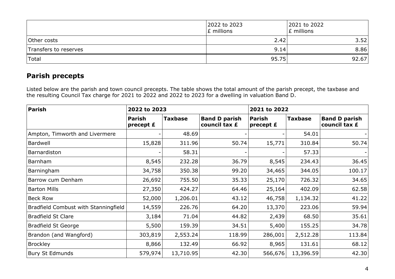|                       | 2022 to 2023<br>E millions | 2021 to 2022<br>E millions |
|-----------------------|----------------------------|----------------------------|
| Other costs           | 2.42                       | 3.52                       |
| Transfers to reserves | 9.14                       | 8.86                       |
| Total                 | 95.75                      | 92.67                      |

# **Parish precepts**

Listed below are the parish and town council precepts. The table shows the total amount of the parish precept, the taxbase and the resulting Council Tax charge for 2021 to 2022 and 2022 to 2023 for a dwelling in valuation Band D.

| Parish                               | 2022 to 2023                 |                |                                       | 2021 to 2022               |                |                                       |
|--------------------------------------|------------------------------|----------------|---------------------------------------|----------------------------|----------------|---------------------------------------|
|                                      | <b>Parish</b><br>precept $E$ | <b>Taxbase</b> | <b>Band D parish</b><br>council tax £ | <b>Parish</b><br>precept £ | <b>Taxbase</b> | <b>Band D parish</b><br>council tax £ |
| Ampton, Timworth and Livermere       |                              | 48.69          |                                       |                            | 54.01          |                                       |
| Bardwell                             | 15,828                       | 311.96         | 50.74                                 | 15,771                     | 310.84         | 50.74                                 |
| Barnardiston                         |                              | 58.31          |                                       |                            | 57.33          |                                       |
| Barnham                              | 8,545                        | 232.28         | 36.79                                 | 8,545                      | 234.43         | 36.45                                 |
| Barningham                           | 34,758                       | 350.38         | 99.20                                 | 34,465                     | 344.05         | 100.17                                |
| Barrow cum Denham                    | 26,692                       | 755.50         | 35.33                                 | 25,170                     | 726.32         | 34.65                                 |
| <b>Barton Mills</b>                  | 27,350                       | 424.27         | 64.46                                 | 25,164                     | 402.09         | 62.58                                 |
| <b>Beck Row</b>                      | 52,000                       | 1,206.01       | 43.12                                 | 46,758                     | 1,134.32       | 41.22                                 |
| Bradfield Combust with Stanningfield | 14,559                       | 226.76         | 64.20                                 | 13,370                     | 223.06         | 59.94                                 |
| <b>Bradfield St Clare</b>            | 3,184                        | 71.04          | 44.82                                 | 2,439                      | 68.50          | 35.61                                 |
| <b>Bradfield St George</b>           | 5,500                        | 159.39         | 34.51                                 | 5,400                      | 155.25         | 34.78                                 |
| Brandon (and Wangford)               | 303,819                      | 2,553.24       | 118.99                                | 286,001                    | 2,512.28       | 113.84                                |
| <b>Brockley</b>                      | 8,866                        | 132.49         | 66.92                                 | 8,965                      | 131.61         | 68.12                                 |
| <b>Bury St Edmunds</b>               | 579,974                      | 13,710.95      | 42.30                                 | 566,676                    | 13,396.59      | 42.30                                 |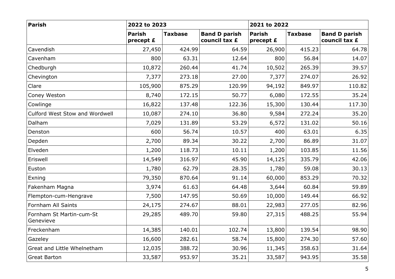| Parish                                | 2022 to 2023               |                |                                       | 2021 to 2022               |                |                                       |  |
|---------------------------------------|----------------------------|----------------|---------------------------------------|----------------------------|----------------|---------------------------------------|--|
|                                       | <b>Parish</b><br>precept £ | <b>Taxbase</b> | <b>Band D parish</b><br>council tax £ | <b>Parish</b><br>precept £ | <b>Taxbase</b> | <b>Band D parish</b><br>council tax £ |  |
| Cavendish                             | 27,450                     | 424.99         | 64.59                                 | 26,900                     | 415.23         | 64.78                                 |  |
| Cavenham                              | 800                        | 63.31          | 12.64                                 | 800                        | 56.84          | 14.07                                 |  |
| Chedburgh                             | 10,872                     | 260.44         | 41.74                                 | 10,502                     | 265.39         | 39.57                                 |  |
| Chevington                            | 7,377                      | 273.18         | 27.00                                 | 7,377                      | 274.07         | 26.92                                 |  |
| Clare                                 | 105,900                    | 875.29         | 120.99                                | 94,192                     | 849.97         | 110.82                                |  |
| Coney Weston                          | 8,740                      | 172.15         | 50.77                                 | 6,080                      | 172.55         | 35.24                                 |  |
| Cowlinge                              | 16,822                     | 137.48         | 122.36                                | 15,300                     | 130.44         | 117.30                                |  |
| Culford West Stow and Wordwell        | 10,087                     | 274.10         | 36.80                                 | 9,584                      | 272.24         | 35.20                                 |  |
| Dalham                                | 7,029                      | 131.89         | 53.29                                 | 6,572                      | 131.02         | 50.16                                 |  |
| Denston                               | 600                        | 56.74          | 10.57                                 | 400                        | 63.01          | 6.35                                  |  |
| Depden                                | 2,700                      | 89.34          | 30.22                                 | 2,700                      | 86.89          | 31.07                                 |  |
| Elveden                               | 1,200                      | 118.73         | 10.11                                 | 1,200                      | 103.85         | 11.56                                 |  |
| Eriswell                              | 14,549                     | 316.97         | 45.90                                 | 14,125                     | 335.79         | 42.06                                 |  |
| Euston                                | 1,780                      | 62.79          | 28.35                                 | 1,780                      | 59.08          | 30.13                                 |  |
| Exning                                | 79,350                     | 870.64         | 91.14                                 | 60,000                     | 853.29         | 70.32                                 |  |
| Fakenham Magna                        | 3,974                      | 61.63          | 64.48                                 | 3,644                      | 60.84          | 59.89                                 |  |
| Flempton-cum-Hengrave                 | 7,500                      | 147.95         | 50.69                                 | 10,000                     | 149.44         | 66.92                                 |  |
| Fornham All Saints                    | 24,175                     | 274.67         | 88.01                                 | 22,983                     | 277.05         | 82.96                                 |  |
| Fornham St Martin-cum-St<br>Genevieve | 29,285                     | 489.70         | 59.80                                 | 27,315                     | 488.25         | 55.94                                 |  |
| Freckenham                            | 14,385                     | 140.01         | 102.74                                | 13,800                     | 139.54         | 98.90                                 |  |
| Gazeley                               | 16,600                     | 282.61         | 58.74                                 | 15,800                     | 274.30         | 57.60                                 |  |
| Great and Little Whelnetham           | 12,035                     | 388.72         | 30.96                                 | 11,345                     | 358.63         | 31.64                                 |  |
| <b>Great Barton</b>                   | 33,587                     | 953.97         | 35.21                                 | 33,587                     | 943.95         | 35.58                                 |  |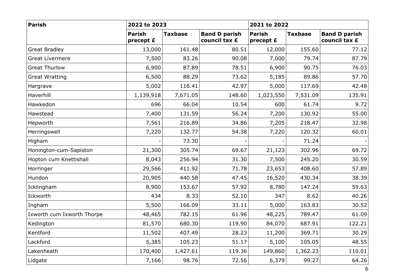| Parish                     | 2022 to 2023               |                |                                       | 2021 to 2022               |                |                                       |  |
|----------------------------|----------------------------|----------------|---------------------------------------|----------------------------|----------------|---------------------------------------|--|
|                            | <b>Parish</b><br>precept £ | <b>Taxbase</b> | <b>Band D parish</b><br>council tax £ | <b>Parish</b><br>precept £ | <b>Taxbase</b> | <b>Band D parish</b><br>council tax £ |  |
| <b>Great Bradley</b>       | 13,000                     | 161.48         | 80.51                                 | 12,000                     | 155.60         | 77.12                                 |  |
| <b>Great Livermere</b>     | 7,500                      | 83.26          | 90.08                                 | 7,000                      | 79.74          | 87.79                                 |  |
| <b>Great Thurlow</b>       | 6,900                      | 87.89          | 78.51                                 | 6,900                      | 90.75          | 76.03                                 |  |
| <b>Great Wratting</b>      | 6,500                      | 88.29          | 73.62                                 | 5,185                      | 89.86          | 57.70                                 |  |
| Hargrave                   | 5,002                      | 116.41         | 42.97                                 | 5,000                      | 117.69         | 42.48                                 |  |
| Haverhill                  | 1,139,918                  | 7,671.05       | 148.60                                | 1,023,550                  | 7,531.09       | 135.91                                |  |
| Hawkedon                   | 696                        | 66.04          | 10.54                                 | 600                        | 61.74          | 9.72                                  |  |
| Hawstead                   | 7,400                      | 131.59         | 56.24                                 | 7,200                      | 130.92         | 55.00                                 |  |
| Hepworth                   | 7,561                      | 216.89         | 34.86                                 | 7,205                      | 218.47         | 32.98                                 |  |
| Herringswell               | 7,220                      | 132.77         | 54.38                                 | 7,220                      | 120.32         | 60.01                                 |  |
| Higham                     |                            | 73.30          |                                       |                            | 71.24          |                                       |  |
| Honington-cum-Sapiston     | 21,300                     | 305.74         | 69.67                                 | 21,123                     | 302.96         | 69.72                                 |  |
| Hopton cum Knettishall     | 8,043                      | 256.94         | 31.30                                 | 7,500                      | 245.20         | 30.59                                 |  |
| Horringer                  | 29,566                     | 411.92         | 71.78                                 | 23,653                     | 408.60         | 57.89                                 |  |
| Hundon                     | 20,905                     | 440.58         | 47.45                                 | 16,520                     | 430.34         | 38.39                                 |  |
| Icklingham                 | 8,900                      | 153.67         | 57.92                                 | 8,780                      | 147.24         | 59.63                                 |  |
| Ickworth                   | 434                        | 8.33           | 52.10                                 | 347                        | 8.62           | 40.26                                 |  |
| Ingham                     | 5,500                      | 166.09         | 33.11                                 | 5,000                      | 163.83         | 30.52                                 |  |
| Ixworth cum Ixworth Thorpe | 48,465                     | 782.15         | 61.96                                 | 48,225                     | 789.47         | 61.09                                 |  |
| Kedington                  | 81,570                     | 680.30         | 119.90                                | 84,070                     | 687.91         | 122.21                                |  |
| Kentford                   | 11,502                     | 407.49         | 28.23                                 | 11,200                     | 369.71         | 30.29                                 |  |
| Lackford                   | 5,385                      | 105.23         | 51.17                                 | 5,100                      | 105.05         | 48.55                                 |  |
| Lakenheath                 | 170,400                    | 1,427.61       | 119.36                                | 149,860                    | 1,362.23       | 110.01                                |  |
| Lidgate                    | 7,166                      | 98.76          | 72.56                                 | 6,379                      | 99.27          | 64.26                                 |  |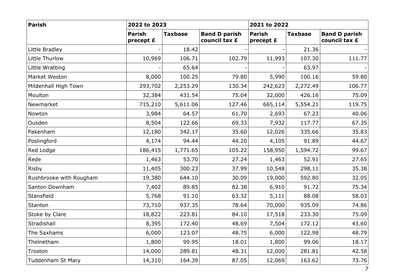| Parish                  | 2022 to 2023               |                |                                       | 2021 to 2022               |                |                                       |  |
|-------------------------|----------------------------|----------------|---------------------------------------|----------------------------|----------------|---------------------------------------|--|
|                         | <b>Parish</b><br>precept £ | <b>Taxbase</b> | <b>Band D parish</b><br>council tax £ | <b>Parish</b><br>precept £ | <b>Taxbase</b> | <b>Band D parish</b><br>council tax £ |  |
| Little Bradley          |                            | 18.42          |                                       |                            | 21.36          |                                       |  |
| Little Thurlow          | 10,969                     | 106.71         | 102.79                                | 11,993                     | 107.30         | 111.77                                |  |
| Little Wratting         |                            | 65.64          |                                       |                            | 63.97          |                                       |  |
| Market Weston           | 8,000                      | 100.25         | 79.80                                 | 5,990                      | 100.16         | 59.80                                 |  |
| Mildenhall High Town    | 293,702                    | 2,253.29       | 130.34                                | 242,623                    | 2,272.49       | 106.77                                |  |
| Moulton                 | 32,384                     | 431.54         | 75.04                                 | 32,000                     | 426.16         | 75.09                                 |  |
| Newmarket               | 715,210                    | 5,611.06       | 127.46                                | 665,114                    | 5,554.21       | 119.75                                |  |
| Nowton                  | 3,984                      | 64.57          | 61.70                                 | 2,693                      | 67.23          | 40.06                                 |  |
| Ousden                  | 8,504                      | 122.66         | 69.33                                 | 7,932                      | 117.77         | 67.35                                 |  |
| Pakenham                | 12,180                     | 342.17         | 35.60                                 | 12,026                     | 335.66         | 35.83                                 |  |
| Poslingford             | 4,174                      | 94.44          | 44.20                                 | 4,105                      | 91.89          | 44.67                                 |  |
| Red Lodge               | 186,415                    | 1,771.65       | 105.22                                | 158,950                    | 1,594.72       | 99.67                                 |  |
| Rede                    | 1,463                      | 53.70          | 27.24                                 | 1,463                      | 52.91          | 27.65                                 |  |
| Risby                   | 11,405                     | 300.23         | 37.99                                 | 10,548                     | 298.11         | 35.38                                 |  |
| Rushbrooke with Rougham | 19,380                     | 644.10         | 30.09                                 | 19,000                     | 592.80         | 32.05                                 |  |
| Santon Downham          | 7,402                      | 89.85          | 82.38                                 | 6,910                      | 91.72          | 75.34                                 |  |
| Stansfield              | 5,768                      | 91.10          | 63.32                                 | 5,111                      | 88.08          | 58.03                                 |  |
| Stanton                 | 73,710                     | 937.35         | 78.64                                 | 70,000                     | 935.09         | 74.86                                 |  |
| Stoke by Clare          | 18,822                     | 223.81         | 84.10                                 | 17,518                     | 233.30         | 75.09                                 |  |
| Stradishall             | 8,395                      | 172.40         | 48.69                                 | 7,504                      | 172.12         | 43.60                                 |  |
| The Saxhams             | 6,000                      | 123.07         | 48.75                                 | 6,000                      | 122.98         | 48.79                                 |  |
| Thelnetham              | 1,800                      | 99.95          | 18.01                                 | 1,800                      | 99.06          | 18.17                                 |  |
| Troston                 | 14,000                     | 289.81         | 48.31                                 | 12,000                     | 281.81         | 42.58                                 |  |
| Tuddenham St Mary       | 14,310                     | 164.39         | 87.05                                 | 12,069                     | 163.62         | 73.76                                 |  |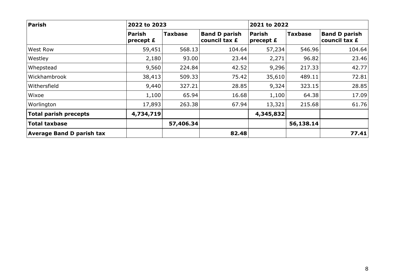| Parish                           | 2022 to 2023               |                |                                       | 2021 to 2022        |                |                                       |  |
|----------------------------------|----------------------------|----------------|---------------------------------------|---------------------|----------------|---------------------------------------|--|
|                                  | <b>Parish</b><br>precept £ | <b>Taxbase</b> | <b>Band D parish</b><br>council tax £ | Parish<br>precept £ | <b>Taxbase</b> | <b>Band D parish</b><br>council tax £ |  |
| West Row                         | 59,451                     | 568.13         | 104.64                                | 57,234              | 546.96         | 104.64                                |  |
| Westley                          | 2,180                      | 93.00          | 23.44                                 | 2,271               | 96.82          | 23.46                                 |  |
| Whepstead                        | 9,560                      | 224.84         | 42.52                                 | 9,296               | 217.33         | 42.77                                 |  |
| Wickhambrook                     | 38,413                     | 509.33         | 75.42                                 | 35,610              | 489.11         | 72.81                                 |  |
| Withersfield                     | 9,440                      | 327.21         | 28.85                                 | 9,324               | 323.15         | 28.85                                 |  |
| Wixoe                            | 1,100                      | 65.94          | 16.68                                 | 1,100               | 64.38          | 17.09                                 |  |
| Worlington                       | 17,893                     | 263.38         | 67.94                                 | 13,321              | 215.68         | 61.76                                 |  |
| <b>Total parish precepts</b>     | 4,734,719                  |                |                                       | 4,345,832           |                |                                       |  |
| <b>Total taxbase</b>             |                            | 57,406.34      |                                       |                     | 56,138.14      |                                       |  |
| <b>Average Band D parish tax</b> |                            |                | 82.48                                 |                     |                | 77.41                                 |  |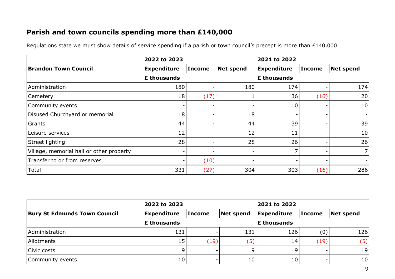# **Parish and town councils spending more than £140,000**

Regulations state we must show details of service spending if a parish or town council's precept is more than £140,000.

|                                          | 2022 to 2023       |               |                  | 2021 to 2022       |               |                |  |
|------------------------------------------|--------------------|---------------|------------------|--------------------|---------------|----------------|--|
| <b>Brandon Town Council</b>              | <b>Expenditure</b> | <b>Income</b> | <b>Net spend</b> | <b>Expenditure</b> | <b>Income</b> | Net spend      |  |
|                                          | £ thousands        |               |                  | £ thousands        |               |                |  |
| Administration                           | 180                |               | 180              | 174                |               | 174            |  |
| <b>Cemetery</b>                          | 18                 | (17)          |                  | 36                 | (16)          | 20             |  |
| Community events                         |                    |               |                  | 10                 |               | 10             |  |
| Disused Churchyard or memorial           | 18                 |               | 18               |                    |               | $\blacksquare$ |  |
| Grants                                   | 44                 |               | 44               | 39                 |               | 39             |  |
| Leisure services                         | 12                 |               | 12               | 11                 |               | 10             |  |
| Street lighting                          | 28                 |               | 28               | 26                 |               | 26             |  |
| Village, memorial hall or other property | -                  |               |                  |                    | -             | 7 <sup>1</sup> |  |
| Transfer to or from reserves             |                    | (10)          | -                |                    |               |                |  |
| Total                                    | 331                | (27)          | 304              | 303                | (16)          | 286            |  |

|                                     | 2022 to 2023                            |        |           | 2021 to 2022       |               |           |  |
|-------------------------------------|-----------------------------------------|--------|-----------|--------------------|---------------|-----------|--|
| <b>Bury St Edmunds Town Council</b> | <b>Expenditure</b>                      | Income | Net spend | <b>Expenditure</b> | <b>Income</b> | Net spend |  |
|                                     | $\sf E$ thousands<br><b>£ thousands</b> |        |           |                    |               |           |  |
| Administration                      | 131                                     |        | 131       | 126                | (0)           | 126       |  |
| Allotments                          | 15                                      | (19)   | (5)       | 14                 | (19)          | (5)       |  |
| Civic costs                         | 9                                       |        | q         | 19                 |               | 19        |  |
| Community events                    | 10 <sub>1</sub>                         |        | 10        | 10                 |               | 10        |  |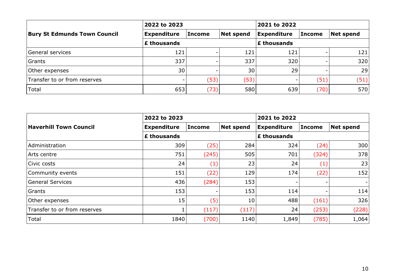|                                     | 2022 to 2023            |               |                  | 2021 to 2022       |               |                  |  |
|-------------------------------------|-------------------------|---------------|------------------|--------------------|---------------|------------------|--|
| <b>Bury St Edmunds Town Council</b> | <b>Expenditure</b>      | <b>Income</b> | <b>Net spend</b> | <b>Expenditure</b> | <b>Income</b> | <b>Net spend</b> |  |
|                                     | $\mathsfsfE}$ thousands |               |                  | <b>£ thousands</b> |               |                  |  |
| General services                    | 121                     |               | 121              | 121                |               | 121              |  |
| Grants                              | 337                     |               | 337              | 320                |               | 320              |  |
| Other expenses                      | 30                      |               | 30               | 29                 |               | 29               |  |
| Transfer to or from reserves        |                         | (53)          | (53)             |                    | (51)          | (51)             |  |
| Total                               | 653                     | (73)          | 580              | 639                | (70)          | 570              |  |

|                               | 2022 to 2023       |               |                  | 2021 to 2022       |               |                          |
|-------------------------------|--------------------|---------------|------------------|--------------------|---------------|--------------------------|
| <b>Haverhill Town Council</b> | <b>Expenditure</b> | <b>Income</b> | <b>Net spend</b> | <b>Expenditure</b> | <b>Income</b> | <b>Net spend</b>         |
|                               | <b>£ thousands</b> |               |                  | £ thousands        |               |                          |
| Administration                | 309                | (25)          | 284              | 324                | (24)          | 300                      |
| Arts centre                   | 751                | (245)         | 505              | 701                | (324)         | 378                      |
| Civic costs                   | 24                 | (1)           | 23               | 24                 | (1)           | 23                       |
| Community events              | 151                | (22)          | 129              | 174                | (22)          | 152                      |
| <b>General Services</b>       | 436                | (284)         | 153              | -                  | ۰             | $\overline{\phantom{0}}$ |
| Grants                        | 153                |               | 153              | 114                |               | 114                      |
| Other expenses                | 15                 | (5)           | 10               | 488                | (161)         | 326                      |
| Transfer to or from reserves  |                    | (117)         | (117)            | 24                 | (253)         | (228)                    |
| Total                         | 1840               | (700)         | 1140             | 1,849              | (785)         | 1,064                    |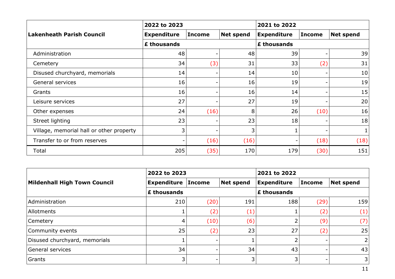|                                          | 2022 to 2023       |        |                  | 2021 to 2022       |               |                  |  |
|------------------------------------------|--------------------|--------|------------------|--------------------|---------------|------------------|--|
| <b>Lakenheath Parish Council</b>         | <b>Expenditure</b> | Income | <b>Net spend</b> | <b>Expenditure</b> | <b>Income</b> | <b>Net spend</b> |  |
|                                          | £ thousands        |        |                  | £ thousands        |               |                  |  |
| Administration                           | 48                 |        | 48               | 39                 |               | 39               |  |
| Cemetery                                 | 34                 | (3)    | 31               | 33                 | (2)           | 31               |  |
| Disused churchyard, memorials            | 14                 |        | 14               | 10                 |               | 10               |  |
| General services                         | 16                 |        | 16               | 19                 | ۰.            | 19               |  |
| Grants                                   | 16                 |        | 16               | 14                 |               | 15               |  |
| Leisure services                         | 27                 |        | 27               | 19                 | -             | 20               |  |
| Other expenses                           | 24                 | (16)   | 8                | 26                 | (10)          | 16               |  |
| Street lighting                          | 23                 |        | 23               | 18                 |               | 18               |  |
| Village, memorial hall or other property | 3                  |        | 3                |                    |               |                  |  |
| Transfer to or from reserves             |                    | (16)   | (16)             |                    | (18)          | (18)             |  |
| Total                                    | 205                | (35)   | 170              | 179                | (30)          | 151              |  |

|                               | 2022 to 2023              |      |                  | 2021 to 2022       |               |                  |
|-------------------------------|---------------------------|------|------------------|--------------------|---------------|------------------|
| Mildenhall High Town Council  | <b>Expenditure Income</b> |      | <b>Net spend</b> | <b>Expenditure</b> | <b>Income</b> | <b>Net spend</b> |
|                               | £ thousands               |      |                  | <b>£ thousands</b> |               |                  |
| Administration                | 210                       | (20) | 191              | 188                | (29)          | 159              |
| Allotments                    |                           | (2)  | (1)              |                    | (2)           | (1)              |
| <b>Cemetery</b>               | 4                         | (10) | (6)              |                    | (9)           | (7)              |
| Community events              | 25                        | (2)  | 23               | 27                 | (2)           | 25               |
| Disused churchyard, memorials |                           |      |                  | ำ                  |               | 2                |
| General services              | 34                        |      | 34               | 43                 |               | 43               |
| Grants                        | 3                         |      | 3                | 3                  |               | 3                |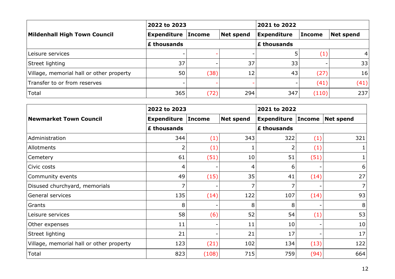|                                          | 2022 to 2023       |               |           | 2021 to 2022       |                   |           |
|------------------------------------------|--------------------|---------------|-----------|--------------------|-------------------|-----------|
| Mildenhall High Town Council             | Expenditure        | <b>Income</b> | Net spend | <b>Expenditure</b> | <b>Income</b>     | Net spend |
|                                          | <b>£ thousands</b> |               |           | <b>E</b> thousands |                   |           |
| Leisure services                         |                    |               |           |                    | $\left( 1\right)$ | 4         |
| Street lighting                          | 37                 |               | 37        | 33                 |                   | 33        |
| Village, memorial hall or other property | 50                 | (38)          | 12        | 43                 | (27)              | 16        |
| Transfer to or from reserves             |                    |               | -         | -                  | (41)              | (41)      |
| Total                                    | 365                | (72)          | 294       | 347                | (110)             | 237       |

|                                          | 2022 to 2023       |               |                  | 2021 to 2022       |             |                  |  |  |
|------------------------------------------|--------------------|---------------|------------------|--------------------|-------------|------------------|--|--|
| <b>Newmarket Town Council</b>            | <b>Expenditure</b> | <b>Income</b> | <b>Net spend</b> | <b>Expenditure</b> | Income      | <b>Net spend</b> |  |  |
|                                          | £ thousands        |               |                  |                    | £ thousands |                  |  |  |
| Administration                           | 344                | (1)           | 343              | 322                | (1)         | 321              |  |  |
| Allotments                               | 2                  | (1)           |                  | 2                  | (1)         |                  |  |  |
| Cemetery                                 | 61                 | (51)          | 10               | 51                 | (51)        |                  |  |  |
| Civic costs                              | 4                  |               | 4                | 6                  |             | 6                |  |  |
| Community events                         | 49                 | (15)          | 35               | 41                 | (14)        | 27               |  |  |
| Disused churchyard, memorials            | 7                  |               |                  | 7                  |             | 7                |  |  |
| General services                         | 135                | (14)          | 122              | 107                | (14)        | 93               |  |  |
| Grants                                   | 8                  |               | 8                | 8                  |             | 8                |  |  |
| Leisure services                         | 58                 | (6)           | 52               | 54                 | (1)         | 53               |  |  |
| Other expenses                           | 11                 |               | 11               | 10                 |             | 10               |  |  |
| Street lighting                          | 21                 |               | 21               | 17                 |             | 17               |  |  |
| Village, memorial hall or other property | 123                | (21)          | 102              | 134                | (13)        | 122              |  |  |
| Total                                    | 823                | (108)         | 715              | 759                | (94)        | 664              |  |  |